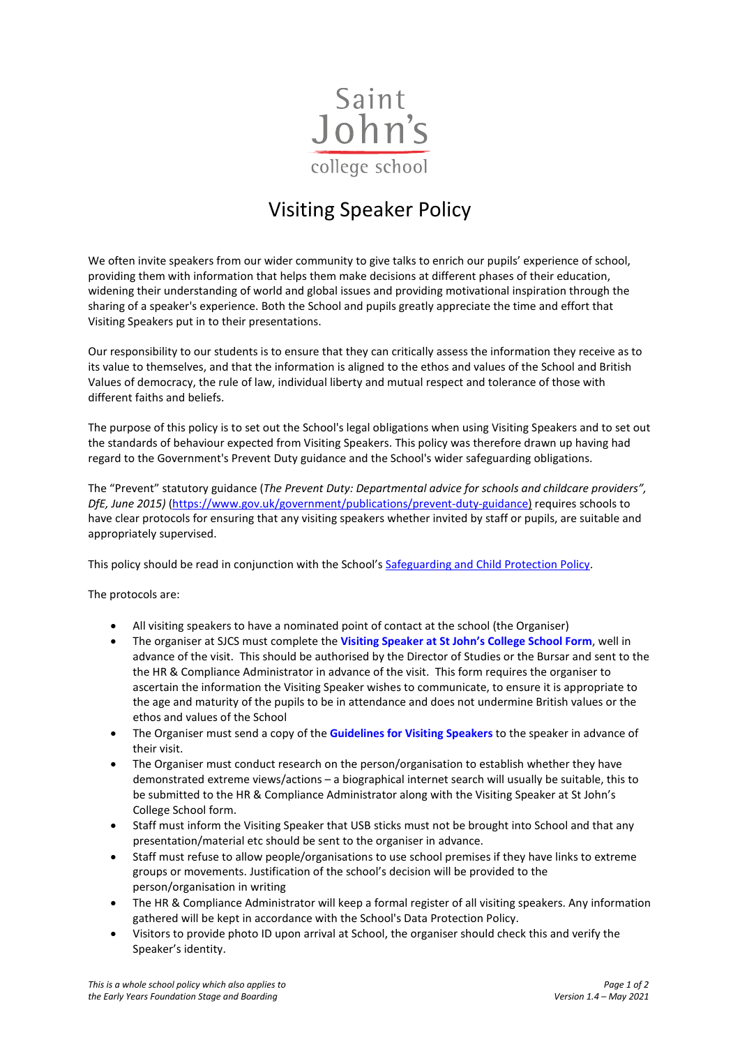

## Visiting Speaker Policy

We often invite speakers from our wider community to give talks to enrich our pupils' experience of school, providing them with information that helps them make decisions at different phases of their education, widening their understanding of world and global issues and providing motivational inspiration through the sharing of a speaker's experience. Both the School and pupils greatly appreciate the time and effort that Visiting Speakers put in to their presentations.

Our responsibility to our students is to ensure that they can critically assess the information they receive as to its value to themselves, and that the information is aligned to the ethos and values of the School and British Values of democracy, the rule of law, individual liberty and mutual respect and tolerance of those with different faiths and beliefs.

The purpose of this policy is to set out the School's legal obligations when using Visiting Speakers and to set out the standards of behaviour expected from Visiting Speakers. This policy was therefore drawn up having had regard to the Government's Prevent Duty guidance and the School's wider safeguarding obligations.

The "Prevent" statutory guidance (*The Prevent Duty: Departmental advice for schools and childcare providers", DfE, June 2015)* [\(https://www.gov.uk/government/publications/prevent-duty-guidance\)](https://www.gov.uk/government/publications/prevent-duty-guidance) requires schools to have clear protocols for ensuring that any visiting speakers whether invited by staff or pupils, are suitable and appropriately supervised.

This policy should be read in conjunction with the School'[s Safeguarding and Child Protection Policy.](https://www.sjcs.co.uk/sites/default/files/styles/Policies/SJCS%20Safeguarding%20and%20Child%20Protection%20Policy.pdf)

The protocols are:

- All visiting speakers to have a nominated point of contact at the school (the Organiser)
- The organiser at SJCS must complete the **[Visiting Speaker at St John's College School Form](https://www.sjcs.co.uk/sites/default/files/styles/Policies/SJCS%20Visiting%20Speaker%20Form.pdf)**, well in advance of the visit. This should be authorised by the Director of Studies or the Bursar and sent to the the HR & Compliance Administrator in advance of the visit. This form requires the organiser to ascertain the information the Visiting Speaker wishes to communicate, to ensure it is appropriate to the age and maturity of the pupils to be in attendance and does not undermine British values or the ethos and values of the School
- The Organiser must send a copy of the **[Guidelines for Visiting Speakers](https://www.sjcs.co.uk/sites/default/files/styles/Policies/SJCS%20Guidelines%20for%20Visiting%20Speakers.pdf)** to the speaker in advance of their visit.
- The Organiser must conduct research on the person/organisation to establish whether they have demonstrated extreme views/actions – a biographical internet search will usually be suitable, this to be submitted to the HR & Compliance Administrator along with the Visiting Speaker at St John's College School form.
- Staff must inform the Visiting Speaker that USB sticks must not be brought into School and that any presentation/material etc should be sent to the organiser in advance.
- Staff must refuse to allow people/organisations to use school premises if they have links to extreme groups or movements. Justification of the school's decision will be provided to the person/organisation in writing
- The HR & Compliance Administrator will keep a formal register of all visiting speakers. Any information gathered will be kept in accordance with the School's Data Protection Policy.
- Visitors to provide photo ID upon arrival at School, the organiser should check this and verify the Speaker's identity.